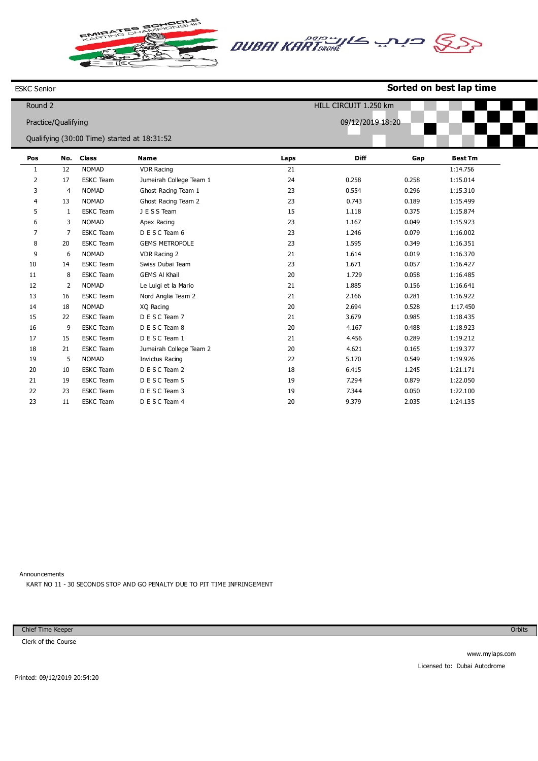틍 Q



## ESKC Senior

## **Sorted on best lap time**

| Round 2             | HILL CIRCUIT 1.250 km |                                             |                         |                  |       |       |                |
|---------------------|-----------------------|---------------------------------------------|-------------------------|------------------|-------|-------|----------------|
| Practice/Qualifying |                       |                                             |                         | 09/12/2019 18:20 |       |       |                |
|                     |                       | Qualifying (30:00 Time) started at 18:31:52 |                         |                  |       |       |                |
|                     |                       |                                             |                         |                  |       |       |                |
| Pos                 | No.                   | <b>Class</b>                                | <b>Name</b>             | Laps             | Diff  | Gap   | <b>Best Tm</b> |
| 1                   | 12                    | <b>NOMAD</b>                                | <b>VDR Racing</b>       | 21               |       |       | 1:14.756       |
| 2                   | 17                    | <b>ESKC</b> Team                            | Jumeirah College Team 1 | 24               | 0.258 | 0.258 | 1:15.014       |
| 3                   | 4                     | <b>NOMAD</b>                                | Ghost Racing Team 1     | 23               | 0.554 | 0.296 | 1:15.310       |
| 4                   | 13                    | <b>NOMAD</b>                                | Ghost Racing Team 2     | 23               | 0.743 | 0.189 | 1:15.499       |
| 5                   | 1                     | <b>ESKC</b> Team                            | J E S S Team            | 15               | 1.118 | 0.375 | 1:15.874       |
| 6                   | 3                     | <b>NOMAD</b>                                | Apex Racing             | 23               | 1.167 | 0.049 | 1:15.923       |
| 7                   | $\overline{7}$        | <b>ESKC</b> Team                            | D E S C Team 6          | 23               | 1.246 | 0.079 | 1:16.002       |
| 8                   | 20                    | <b>ESKC</b> Team                            | <b>GEMS METROPOLE</b>   | 23               | 1.595 | 0.349 | 1:16.351       |
| 9                   | 6                     | <b>NOMAD</b>                                | VDR Racing 2            | 21               | 1.614 | 0.019 | 1:16.370       |
| 10                  | 14                    | <b>ESKC</b> Team                            | Swiss Dubai Team        | 23               | 1.671 | 0.057 | 1:16.427       |
| 11                  | 8                     | <b>ESKC</b> Team                            | <b>GEMS AI Khail</b>    | 20               | 1.729 | 0.058 | 1:16.485       |
| 12                  | 2                     | <b>NOMAD</b>                                | Le Luigi et la Mario    | 21               | 1.885 | 0.156 | 1:16.641       |
| 13                  | 16                    | <b>ESKC</b> Team                            | Nord Anglia Team 2      | 21               | 2.166 | 0.281 | 1:16.922       |
| 14                  | 18                    | <b>NOMAD</b>                                | XQ Racing               | 20               | 2.694 | 0.528 | 1:17.450       |
| 15                  | 22                    | <b>ESKC</b> Team                            | D E S C Team 7          | 21               | 3.679 | 0.985 | 1:18.435       |
| 16                  | 9                     | <b>ESKC</b> Team                            | D E S C Team 8          | 20               | 4.167 | 0.488 | 1:18.923       |
| 17                  | 15                    | <b>ESKC</b> Team                            | D E S C Team 1          | 21               | 4.456 | 0.289 | 1:19.212       |
| 18                  | 21                    | <b>ESKC</b> Team                            | Jumeirah College Team 2 | 20               | 4.621 | 0.165 | 1:19.377       |
| 19                  | 5                     | <b>NOMAD</b>                                | Invictus Racing         | 22               | 5.170 | 0.549 | 1:19.926       |
| 20                  | 10                    | <b>ESKC</b> Team                            | D E S C Team 2          | 18               | 6.415 | 1.245 | 1:21.171       |
| 21                  | 19                    | <b>ESKC</b> Team                            | D E S C Team 5          | 19               | 7.294 | 0.879 | 1:22.050       |
| 22                  | 23                    | <b>ESKC</b> Team                            | D E S C Team 3          | 19               | 7.344 | 0.050 | 1:22.100       |
| 23                  | 11                    | <b>ESKC</b> Team                            | D E S C Team 4          | 20               | 9.379 | 2.035 | 1:24.135       |

Announcements KART NO 11 - 30 SECONDS STOP AND GO PENALTY DUE TO PIT TIME INFRINGEMENT

Chief Time Keeper

Clerk of the Course

**Orbits**